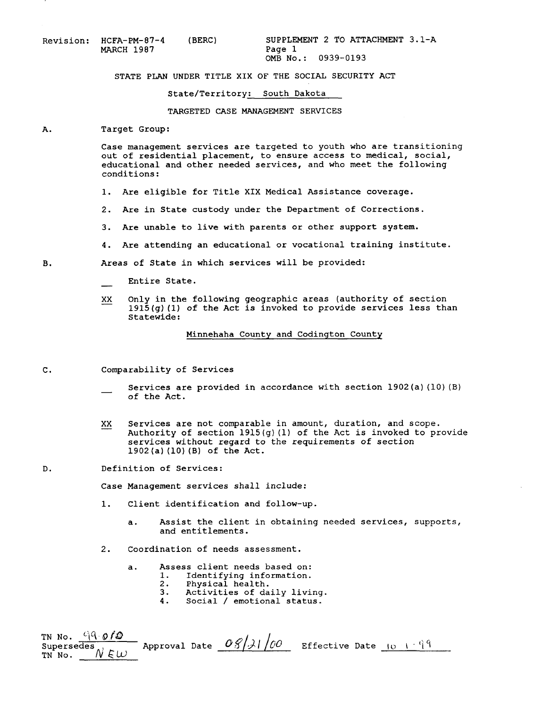| Revision: HCFA-PM-87-4 | (BERC) | SUPPLEM |
|------------------------|--------|---------|
| <b>MARCH 1987</b>      |        | Page 1  |
|                        |        |         |

) SUPPLEMENT 2 TO ATTACHMENT 3.1-A<br>Page 1 OMB No.: 0939-0193

## STATE PLAN UNDER TITLE XIX OF THE SOCIAL SECURITY ACT

## State/Territory: South Dakota

TARGETED CASE MANAGEMENT SERVICES

## A. Target Group:

Case management services are targeted to youth who are transitioning out of residential placement, to ensure access to medical, social, educational and other needed services, and who meet the following conditions:

- **1.** Are eligible for Title XIX Medical Assistance coverage.
- 2. Are in State custody under the Department of Corrections.
- **3.** Are unable to live with parents or other support system.
- **4.** Are attending an educationalor vocational training institute.
- B. Areas of State in which services will be provided:<br>
Entire State.
	-
	- Entire State.<br>XX Only in the following geographic areas (authority of section 1915(g)(l) **of** the Act is invoked to provide servicesless than Statewide:

Minnehaha County and Codington County

**C.** Comparability of Services

- Services are provided in accordance with section  $1902(a)(10)(B)$ of the Act.
- XX Services are not comparable in amount, duration, and scope.<br>Authority of section 1915(g) (1) of the Act is invoked to provide services without regard to the requirements of section  $1902(a)(10)(B)$  of the Act.
- **D.** Definition **of** Services:

Case Management services shall include:

- **1.** Client identification and follow-up.
	- a. Assist the client in obtaining needed services, supports, and entitlements.
- 2. Coordination of needs assessment.
	- a. Assess client needs based on:<br>1. Identifying information.
		- 1. Identifying information.<br>2. Physical health.
		- 2. Physical health.<br>3. Activities of da
		- **3.** Activities **of** daily living.
		- Social / emotional status.

TN No. <sup>*L*IQ</sup> 0/0<br>Supersedes TN No.  $\frac{C[V \cap G / W]}{Supersedes}$  Approval Date  $\frac{OS/31}{100}$  Effective Date <u>IO 1 99</u>  $^{\prime}$ N EW  $\,$